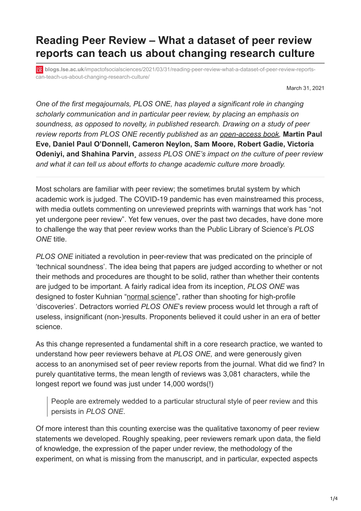## **Reading Peer Review – What a dataset of peer review reports can teach us about changing research culture**

**blogs.lse.ac.uk**[/impactofsocialsciences/2021/03/31/reading-peer-review-what-a-dataset-of-peer-review-reports](https://blogs.lse.ac.uk/impactofsocialsciences/2021/03/31/reading-peer-review-what-a-dataset-of-peer-review-reports-can-teach-us-about-changing-research-culture/)can-teach-us-about-changing-research-culture/

March 31, 2021

*One of the first megajournals, PLOS ONE, has played a significant role in changing scholarly communication and in particular peer review, by placing an emphasis on soundness, as opposed to novelty, in published research. Drawing on a study of peer review reports from PLOS ONE recently published as an [open-access book](https://www.cambridge.org/core/elements/reading-peer-review/42F027E4C67D246DD8C3AC440A68C7A7),* **Martin Paul Eve, Daniel Paul O'Donnell, Cameron Neylon, Sam Moore, Robert Gadie, Victoria Odeniyi, and Shahina Parvin***¸ assess PLOS ONE's impact on the culture of peer review and what it can tell us about efforts to change academic culture more broadly.*

Most scholars are familiar with peer review; the sometimes brutal system by which academic work is judged. The COVID-19 pandemic has even mainstreamed this process, with media outlets commenting on unreviewed preprints with warnings that work has "not yet undergone peer review". Yet few venues, over the past two decades, have done more to challenge the way that peer review works than the Public Library of Science's *PLOS ONE* title.

*PLOS ONE* initiated a revolution in peer-review that was predicated on the principle of 'technical soundness'. The idea being that papers are judged according to whether or not their methods and procedures are thought to be solid, rather than whether their contents are judged to be important. A fairly radical idea from its inception, *PLOS ONE* was designed to foster Kuhnian ["normal science"](https://plato.stanford.edu/entries/thomas-kuhn/), rather than shooting for high-profile 'discoveries'. Detractors worried *PLOS ONE*'s review process would let through a raft of useless, insignificant (non-)results. Proponents believed it could usher in an era of better science.

As this change represented a fundamental shift in a core research practice, we wanted to understand how peer reviewers behave at *PLOS ONE,* and were generously given access to an anonymised set of peer review reports from the journal. What did we find? In purely quantitative terms, the mean length of reviews was 3,081 characters, while the longest report we found was just under 14,000 words(!)

People are extremely wedded to a particular structural style of peer review and this persists in *PLOS ONE*.

Of more interest than this counting exercise was the qualitative taxonomy of peer review statements we developed. Roughly speaking, peer reviewers remark upon data, the field of knowledge, the expression of the paper under review, the methodology of the experiment, on what is missing from the manuscript, and in particular, expected aspects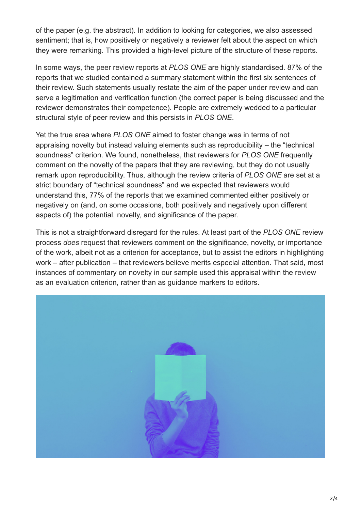of the paper (e.g. the abstract). In addition to looking for categories, we also assessed sentiment; that is, how positively or negatively a reviewer felt about the aspect on which they were remarking. This provided a high-level picture of the structure of these reports.

In some ways, the peer review reports at *PLOS ONE* are highly standardised. 87% of the reports that we studied contained a summary statement within the first six sentences of their review. Such statements usually restate the aim of the paper under review and can serve a legitimation and verification function (the correct paper is being discussed and the reviewer demonstrates their competence). People are extremely wedded to a particular structural style of peer review and this persists in *PLOS ONE*.

Yet the true area where *PLOS ONE* aimed to foster change was in terms of not appraising novelty but instead valuing elements such as reproducibility – the "technical soundness" criterion. We found, nonetheless, that reviewers for *PLOS ONE* frequently comment on the novelty of the papers that they are reviewing, but they do not usually remark upon reproducibility. Thus, although the review criteria of *PLOS ONE* are set at a strict boundary of "technical soundness" and we expected that reviewers would understand this, 77% of the reports that we examined commented either positively or negatively on (and, on some occasions, both positively and negatively upon different aspects of) the potential, novelty, and significance of the paper.

This is not a straightforward disregard for the rules. At least part of the *PLOS ONE* review process *does* request that reviewers comment on the significance, novelty, or importance of the work, albeit not as a criterion for acceptance, but to assist the editors in highlighting work – after publication – that reviewers believe merits especial attention. That said, most instances of commentary on novelty in our sample used this appraisal within the review as an evaluation criterion, rather than as guidance markers to editors.

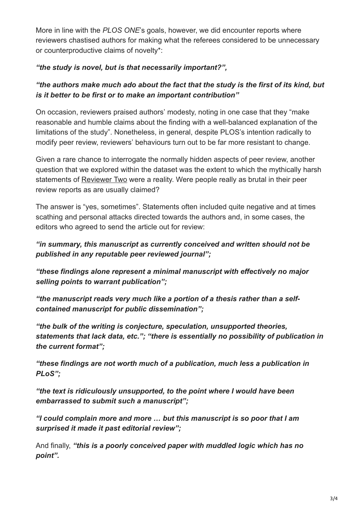More in line with the *PLOS ONE*'s goals, however, we did encounter reports where reviewers chastised authors for making what the referees considered to be unnecessary or counterproductive claims of novelty\*:

## *"the study is novel, but is that necessarily important?",*

## *"the authors make much ado about the fact that the study is the first of its kind, but is it better to be first or to make an important contribution"*

On occasion, reviewers praised authors' modesty, noting in one case that they "make reasonable and humble claims about the finding with a well-balanced explanation of the limitations of the study". Nonetheless, in general, despite PLOS's intention radically to modify peer review, reviewers' behaviours turn out to be far more resistant to change.

Given a rare chance to interrogate the normally hidden aspects of peer review, another question that we explored within the dataset was the extent to which the mythically harsh statements of [Reviewer Two](https://amlbrown.com/2015/11/10/how-not-to-be-reviewer-2/) were a reality. Were people really as brutal in their peer review reports as are usually claimed?

The answer is "yes, sometimes". Statements often included quite negative and at times scathing and personal attacks directed towards the authors and, in some cases, the editors who agreed to send the article out for review:

## *"in summary, this manuscript as currently conceived and written should not be published in any reputable peer reviewed journal";*

*"these findings alone represent a minimal manuscript with effectively no major selling points to warrant publication";*

*"the manuscript reads very much like a portion of a thesis rather than a selfcontained manuscript for public dissemination";*

*"the bulk of the writing is conjecture, speculation, unsupported theories, statements that lack data, etc."; "there is essentially no possibility of publication in the current format";*

*"these findings are not worth much of a publication, much less a publication in PLoS";*

*"the text is ridiculously unsupported, to the point where I would have been embarrassed to submit such a manuscript";*

*"I could complain more and more … but this manuscript is so poor that I am surprised it made it past editorial review";*

And finally, *"this is a poorly conceived paper with muddled logic which has no point".*